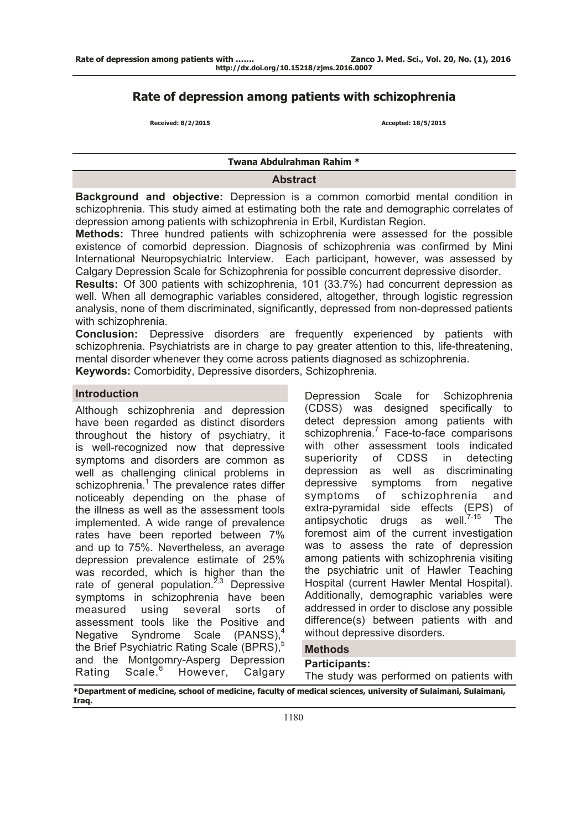# **Rate of depression among patients with schizophrenia**

 **Received: 8/2/2015 Accepted: 18/5/2015** 

### **Twana Abdulrahman Rahim \***

### **Abstract**

**Background and objective:** Depression is a common comorbid mental condition in schizophrenia. This study aimed at estimating both the rate and demographic correlates of depression among patients with schizophrenia in Erbil, Kurdistan Region.

**Methods:** Three hundred patients with schizophrenia were assessed for the possible existence of comorbid depression. Diagnosis of schizophrenia was confirmed by Mini International Neuropsychiatric Interview. Each participant, however, was assessed by Calgary Depression Scale for Schizophrenia for possible concurrent depressive disorder.

**Results:** Of 300 patients with schizophrenia, 101 (33.7%) had concurrent depression as well. When all demographic variables considered, altogether, through logistic regression analysis, none of them discriminated, significantly, depressed from non-depressed patients with schizophrenia.

**Conclusion:** Depressive disorders are frequently experienced by patients with schizophrenia. Psychiatrists are in charge to pay greater attention to this, life-threatening, mental disorder whenever they come across patients diagnosed as schizophrenia.

**Keywords:** Comorbidity, Depressive disorders, Schizophrenia.

### **Introduction**

Although schizophrenia and depression have been regarded as distinct disorders throughout the history of psychiatry, it is well-recognized now that depressive symptoms and disorders are common as well as challenging clinical problems in schizophrenia.<sup>1</sup> The prevalence rates differ noticeably depending on the phase of the illness as well as the assessment tools implemented. A wide range of prevalence rates have been reported between 7% and up to 75%. Nevertheless, an average depression prevalence estimate of 25% was recorded, which is higher than the rate of general population. $2,3$  Depressive symptoms in schizophrenia have been<br>measured using several sorts of measured using several sorts of assessment tools like the Positive and Negative Syndrome Scale (PANSS),<sup>4</sup> the Brief Psychiatric Rating Scale (BPRS),<sup>5</sup> and the Montgomry-Asperg Depression Rating Scale.<sup>6</sup> However, Calgary

Depression Scale for Schizophrenia (CDSS) was designed specifically to detect depression among patients with schizophrenia.<sup>7</sup> Face-to-face comparisons with other assessment tools indicated superiority of CDSS in detecting depression as well as discriminating depressive symptoms from negative symptoms of schizophrenia and extra-pyramidal side effects (EPS) of antipsychotic drugs as well.<sup>7-15</sup> The antipsychotic drugs as foremost aim of the current investigation was to assess the rate of depression among patients with schizophrenia visiting the psychiatric unit of Hawler Teaching Hospital (current Hawler Mental Hospital). Additionally, demographic variables were addressed in order to disclose any possible difference(s) between patients with and without depressive disorders.

## **Methods**

## **Participants:**

The study was performed on patients with

**\*Department of medicine, school of medicine, faculty of medical sciences, university of Sulaimani, Sulaimani, Iraq.**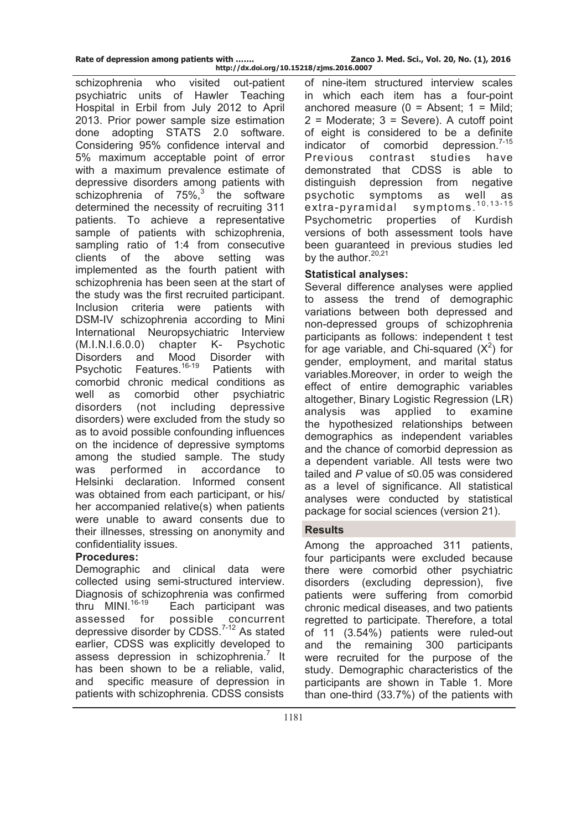**http://dx.doi.org/10.15218/zjms.2016.0007**

schizophrenia who visited out-patient psychiatric units of Hawler Teaching Hospital in Erbil from July 2012 to April 2013. Prior power sample size estimation done adopting STATS 2.0 software. Considering 95% confidence interval and 5% maximum acceptable point of error with a maximum prevalence estimate of depressive disorders among patients with schizophrenia of  $75\%$ ,<sup>3</sup> the software determined the necessity of recruiting 311 patients. To achieve a representative sample of patients with schizophrenia, sampling ratio of 1:4 from consecutive clients of the above setting was implemented as the fourth patient with schizophrenia has been seen at the start of the study was the first recruited participant. Inclusion criteria were patients with DSM-IV schizophrenia according to Mini International Neuropsychiatric Interview (M.I.N.I.6.0.0) chapter K- Psychotic Disorders and Mood Disorder with Psychotic Features.<sup>16-19</sup> Patients with comorbid chronic medical conditions as well as comorbid other psychiatric disorders (not including depressive disorders) were excluded from the study so as to avoid possible confounding influences on the incidence of depressive symptoms among the studied sample. The study was performed in accordance to Helsinki declaration. Informed consent was obtained from each participant, or his/ her accompanied relative(s) when patients were unable to award consents due to their illnesses, stressing on anonymity and confidentiality issues.

## **Procedures:**

Demographic and clinical data were collected using semi-structured interview. Diagnosis of schizophrenia was confirmed<br>thru MINI.<sup>16-19</sup> Each participant was Each participant was assessed for possible concurrent depressive disorder by CDSS.7-12 As stated earlier, CDSS was explicitly developed to assess depression in schizophrenia.<sup>7</sup> It has been shown to be a reliable, valid, and specific measure of depression in patients with schizophrenia. CDSS consists

of nine-item structured interview scales in which each item has a four-point anchored measure  $(0 =$  Absent:  $1 =$  Mild:  $2$  = Moderate;  $3$  = Severe). A cutoff point of eight is considered to be a definite indicator of comorbid depression. $7-15$ Previous contrast studies have demonstrated that CDSS is able to distinguish depression from negative psychotic symptoms as well as extra-pyramidal symptoms. 10,13-15 Psychometric properties of Kurdish versions of both assessment tools have been guaranteed in previous studies led by the author.<sup>20,21</sup>

## **Statistical analyses:**

Several difference analyses were applied to assess the trend of demographic variations between both depressed and non-depressed groups of schizophrenia participants as follows: independent t test for age variable, and Chi-squared  $(X^2)$  for gender, employment, and marital status variables.Moreover, in order to weigh the effect of entire demographic variables altogether, Binary Logistic Regression (LR) analysis was applied to examine the hypothesized relationships between demographics as independent variables and the chance of comorbid depression as a dependent variable. All tests were two tailed and *P* value of ≤0.05 was considered as a level of significance. All statistical analyses were conducted by statistical package for social sciences (version 21).

# **Results**

Among the approached 311 patients, four participants were excluded because there were comorbid other psychiatric disorders (excluding depression), five patients were suffering from comorbid chronic medical diseases, and two patients regretted to participate. Therefore, a total of 11 (3.54%) patients were ruled-out and the remaining 300 participants were recruited for the purpose of the study. Demographic characteristics of the participants are shown in Table 1. More than one-third (33.7%) of the patients with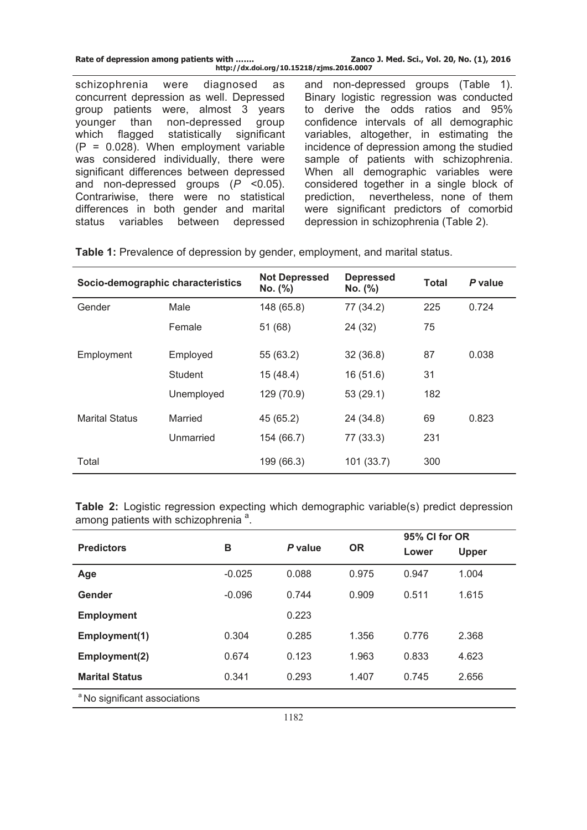| Rate of depression among patients with    | Zanco J. Med. Sci., Vol. 20, No. (1), 2016 |  |  |  |
|-------------------------------------------|--------------------------------------------|--|--|--|
| http://dx.doi.org/10.15218/zjms.2016.0007 |                                            |  |  |  |
| schizophrenia were diagnosed as           | and non-depressed groups (Table 1).        |  |  |  |
| concurrent depression as well. Depressed  | Binary logistic regression was conducted   |  |  |  |
| group patients were, almost 3 years       | to derive the odds ratios and 95%          |  |  |  |
| younger than non-depressed group          | confidence intervals of all demographic    |  |  |  |
| which flagged statistically significant   | variables, altogether, in estimating the   |  |  |  |
| $(P = 0.028)$ . When employment variable  | incidence of depression among the studied  |  |  |  |
| was considered individually, there were   | sample of patients with schizophrenia.     |  |  |  |
| significant differences between depressed | When all demographic variables were        |  |  |  |
| and non-depressed groups $(P \le 0.05)$ . | considered together in a single block of   |  |  |  |
| Contrariwise, there were no statistical   | prediction, nevertheless, none of them     |  |  |  |
| differences in both gender and marital    | were significant predictors of comorbid    |  |  |  |
| status variables between depressed        | depression in schizophrenia (Table 2).     |  |  |  |

| Socio-demographic characteristics |            | <b>Not Depressed</b><br>No. (%) | <b>Depressed</b><br>No. (%) | <b>Total</b> | P value |
|-----------------------------------|------------|---------------------------------|-----------------------------|--------------|---------|
| Gender                            | Male       | 148 (65.8)                      | 77 (34.2)                   | 225          | 0.724   |
|                                   | Female     | 51(68)                          | 24 (32)                     | 75           |         |
| Employment                        | Employed   | 55 (63.2)                       | 32(36.8)                    | 87           | 0.038   |
|                                   | Student    | 15 (48.4)                       | 16(51.6)                    | 31           |         |
|                                   | Unemployed | 129 (70.9)                      | 53(29.1)                    | 182          |         |
| <b>Marital Status</b>             | Married    | 45 (65.2)                       | 24 (34.8)                   | 69           | 0.823   |
|                                   | Unmarried  | 154 (66.7)                      | 77 (33.3)                   | 231          |         |
| Total                             |            | 199 (66.3)                      | 101(33.7)                   | 300          |         |

Table 1: Prevalence of depression by gender, employment, and marital status.

**Table 2:** Logistic regression expecting which demographic variable(s) predict depression among patients with schizophrenia<sup>a</sup>.

|                                          |          | P value | <b>OR</b> | 95% CI for OR |              |
|------------------------------------------|----------|---------|-----------|---------------|--------------|
| <b>Predictors</b>                        | В        |         |           | Lower         | <b>Upper</b> |
| Age                                      | $-0.025$ | 0.088   | 0.975     | 0.947         | 1.004        |
| Gender                                   | $-0.096$ | 0.744   | 0.909     | 0.511         | 1.615        |
| <b>Employment</b>                        |          | 0.223   |           |               |              |
| Employment(1)                            | 0.304    | 0.285   | 1.356     | 0.776         | 2.368        |
| Employment(2)                            | 0.674    | 0.123   | 1.963     | 0.833         | 4.623        |
| <b>Marital Status</b>                    | 0.341    | 0.293   | 1.407     | 0.745         | 2.656        |
| <sup>a</sup> No significant associations |          |         |           |               |              |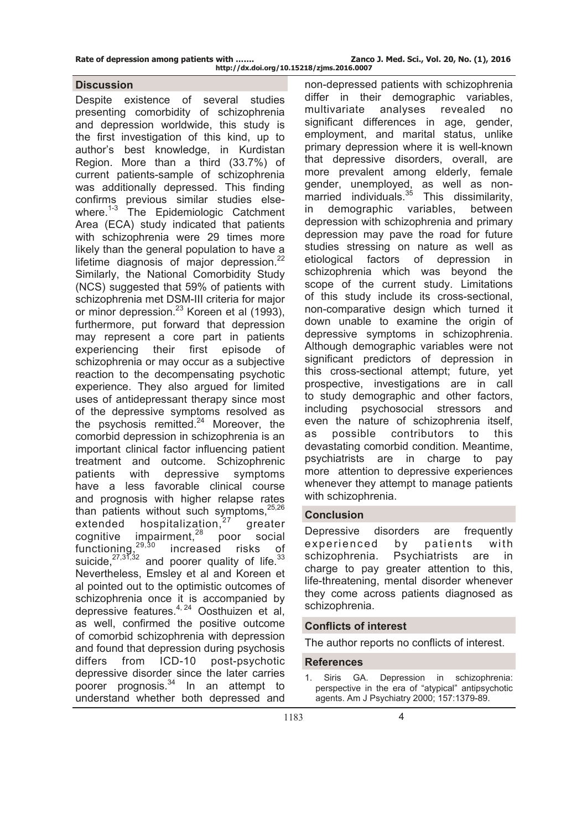### **Discussion**

Despite existence of several studies presenting comorbidity of schizophrenia and depression worldwide, this study is the first investigation of this kind, up to author's best knowledge, in Kurdistan Region. More than a third (33.7%) of current patients-sample of schizophrenia was additionally depressed. This finding confirms previous similar studies elsewhere.<sup>1-3</sup> The Epidemiologic Catchment Area (ECA) study indicated that patients with schizophrenia were 29 times more likely than the general population to have a lifetime diagnosis of major depression. $^{22}$ Similarly, the National Comorbidity Study (NCS) suggested that 59% of patients with schizophrenia met DSM-III criteria for major or minor depression.<sup>23</sup> Koreen et al (1993), furthermore, put forward that depression may represent a core part in patients experiencing their first episode of schizophrenia or may occur as a subjective reaction to the decompensating psychotic experience. They also argued for limited uses of antidepressant therapy since most of the depressive symptoms resolved as the psychosis remitted. $24$  Moreover, the comorbid depression in schizophrenia is an important clinical factor influencing patient treatment and outcome. Schizophrenic patients with depressive symptoms have a less favorable clinical course and prognosis with higher relapse rates than patients without such symptoms, $25,26$ extended hospitalization, $27$  greater  $c$ ognitive impairment, $28$  poor social functioning,<sup>29,30</sup> increased risks of suicide,  $27,37,32$  and poorer quality of life.  $33$ Nevertheless, Emsley et al and Koreen et al pointed out to the optimistic outcomes of schizophrenia once it is accompanied by depressive features.4, 24 Oosthuizen et al, as well, confirmed the positive outcome of comorbid schizophrenia with depression and found that depression during psychosis differs from ICD-10 post-psychotic depressive disorder since the later carries poorer prognosis.<sup>34</sup> In an attempt to understand whether both depressed and

non-depressed patients with schizophrenia differ in their demographic variables, multivariate analyses revealed no significant differences in age, gender, employment, and marital status, unlike primary depression where it is well-known that depressive disorders, overall, are more prevalent among elderly, female gender, unemployed, as well as nonmarried individuals. $35$  This dissimilarity, in demographic variables, between depression with schizophrenia and primary depression may pave the road for future studies stressing on nature as well as etiological factors of depression in schizophrenia which was beyond the scope of the current study. Limitations of this study include its cross-sectional, non-comparative design which turned it down unable to examine the origin of depressive symptoms in schizophrenia. Although demographic variables were not significant predictors of depression in this cross-sectional attempt; future, yet prospective, investigations are in call to study demographic and other factors, including psychosocial stressors and even the nature of schizophrenia itself, as possible contributors to this devastating comorbid condition. Meantime, psychiatrists are in charge to pay more attention to depressive experiences whenever they attempt to manage patients with schizophrenia.

### **Conclusion**

Depressive disorders are frequently experienced by patients with schizophrenia. Psychiatrists are in charge to pay greater attention to this, life-threatening, mental disorder whenever they come across patients diagnosed as schizophrenia.

## **Conflicts of interest**

The author reports no conflicts of interest.

### **References**

1. Siris GA. Depression in schizophrenia: perspective in the era of "atypical" antipsychotic agents. Am J Psychiatry 2000; 157:1379-89.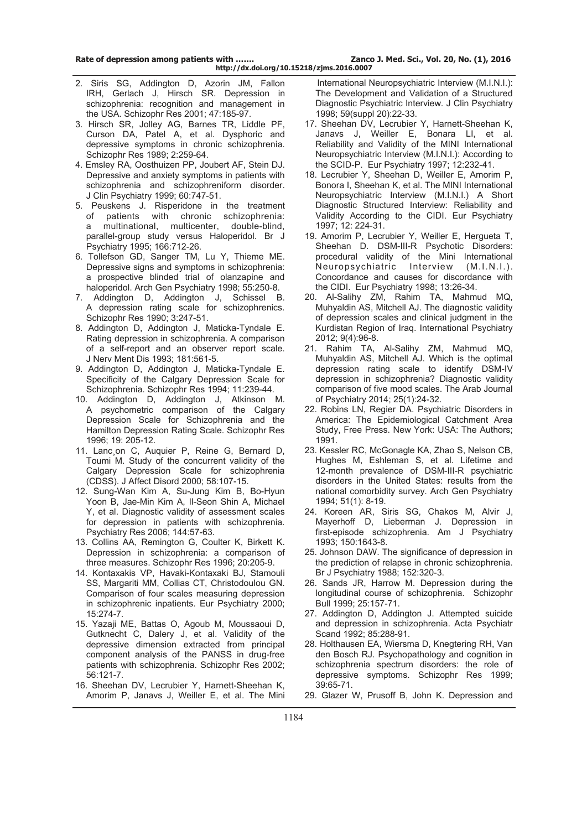- 2. Siris SG, Addington D, Azorin JM, Fallon IRH, Gerlach J, Hirsch SR. Depression in schizophrenia: recognition and management in the USA. Schizophr Res 2001; 47:185-97.
- 3. Hirsch SR, Jolley AG, Barnes TR, Liddle PF, Curson DA, Patel A, et al. Dysphoric and depressive symptoms in chronic schizophrenia. Schizophr Res 1989; 2:259-64.
- 4. Emsley RA, Oosthuizen PP, Joubert AF, Stein DJ. Depressive and anxiety symptoms in patients with schizophrenia and schizophreniform disorder. J Clin Psychiatry 1999; 60:747-51.
- 5. Peuskens J. Risperidone in the treatment of patients with chronic schizophrenia: multinational, multicenter, double-blind, parallel-group study versus Haloperidol. Br J Psychiatry 1995; 166:712-26.
- 6. Tollefson GD, Sanger TM, Lu Y, Thieme ME. Depressive signs and symptoms in schizophrenia: a prospective blinded trial of olanzapine and haloperidol. Arch Gen Psychiatry 1998; 55:250-8.
- 7. Addington D, Addington J, Schissel B. A depression rating scale for schizophrenics. Schizophr Res 1990; 3:247-51.
- 8. Addington D, Addington J, Maticka-Tyndale E. Rating depression in schizophrenia. A comparison of a self-report and an observer report scale. J Nerv Ment Dis 1993; 181:561-5.
- 9. Addington D, Addington J, Maticka-Tyndale E. Specificity of the Calgary Depression Scale for Schizophrenia. Schizophr Res 1994; 11:239-44.
- 10. Addington D, Addington J, Atkinson M. A psychometric comparison of the Calgary Depression Scale for Schizophrenia and the Hamilton Depression Rating Scale. Schizophr Res 1996; 19: 205-12.
- 11. Lanc on C, Auquier P, Reine G, Bernard D, Toumi M. Study of the concurrent validity of the Calgary Depression Scale for schizophrenia (CDSS). J Affect Disord 2000; 58:107-15.
- 12. Sung-Wan Kim A, Su-Jung Kim B, Bo-Hyun Yoon B, Jae-Min Kim A, Il-Seon Shin A, Michael Y, et al. Diagnostic validity of assessment scales for depression in patients with schizophrenia. Psychiatry Res 2006; 144:57-63.
- 13. Collins AA, Remington G, Coulter K, Birkett K. Depression in schizophrenia: a comparison of three measures. Schizophr Res 1996; 20:205-9.
- 14. Kontaxakis VP, Havaki-Kontaxaki BJ, Stamouli SS, Margariti MM, Collias CT, Christodoulou GN. Comparison of four scales measuring depression in schizophrenic inpatients. Eur Psychiatry 2000; 15:274-7.
- 15. Yazaji ME, Battas O, Agoub M, Moussaoui D, Gutknecht C, Dalery J, et al. Validity of the depressive dimension extracted from principal component analysis of the PANSS in drug-free patients with schizophrenia. Schizophr Res 2002; 56:121-7.
- 16. Sheehan DV, Lecrubier Y, Harnett-Sheehan K, Amorim P, Janavs J, Weiller E, et al. The Mini

 International Neuropsychiatric Interview (M.I.N.I.): The Development and Validation of a Structured Diagnostic Psychiatric Interview. J Clin Psychiatry 1998; 59(suppl 20):22-33.

- 17. Sheehan DV, Lecrubier Y, Harnett-Sheehan K, Janavs J, Weiller E, Bonara LI, et al. Reliability and Validity of the MINI International Neuropsychiatric Interview (M.I.N.I.): According to the SCID-P. Eur Psychiatry 1997; 12:232-41.
- 18. Lecrubier Y, Sheehan D, Weiller E, Amorim P, Bonora I, Sheehan K, et al. The MINI International Neuropsychiatric Interview (M.I.N.I.) A Short Diagnostic Structured Interview: Reliability and Validity According to the CIDI. Eur Psychiatry 1997; 12: 224-31.
- 19. Amorim P, Lecrubier Y, Weiller E, Hergueta T, Sheehan D. DSM-III-R Psychotic Disorders: procedural validity of the Mini International Neuropsychiatric Interview (M.I.N.I.). Concordance and causes for discordance with the CIDI. Eur Psychiatry 1998; 13:26-34.
- 20. Al-Salihy ZM, Rahim TA, Mahmud MQ, Muhyaldin AS, Mitchell AJ. The diagnostic validity of depression scales and clinical judgment in the Kurdistan Region of Iraq. International Psychiatry 2012; 9(4):96-8.
- 21. Rahim TA, Al-Salihy ZM, Mahmud MQ, Muhyaldin AS, Mitchell AJ. Which is the optimal depression rating scale to identify DSM-IV depression in schizophrenia? Diagnostic validity comparison of five mood scales. The Arab Journal of Psychiatry 2014; 25(1):24-32.
- 22. Robins LN, Regier DA. Psychiatric Disorders in America: The Epidemiological Catchment Area Study, Free Press. New York: USA: The Authors; 1991.
- 23. Kessler RC, McGonagle KA, Zhao S, Nelson CB, Hughes M, Eshleman S, et al. Lifetime and 12-month prevalence of DSM-III-R psychiatric disorders in the United States: results from the national comorbidity survey. Arch Gen Psychiatry 1994; 51(1): 8-19.
- 24. Koreen AR, Siris SG, Chakos M, Alvir J, Mayerhoff D, Lieberman J. Depression in first-episode schizophrenia. Am J Psychiatry 1993; 150:1643-8.
- 25. Johnson DAW. The significance of depression in the prediction of relapse in chronic schizophrenia. Br J Psychiatry 1988; 152:320-3.
- 26. Sands JR, Harrow M. Depression during the longitudinal course of schizophrenia. Schizophr Bull 1999; 25:157-71.
- 27. Addington D, Addington J. Attempted suicide and depression in schizophrenia. Acta Psychiatr Scand 1992; 85:288-91.
- 28. Holthausen EA, Wiersma D, Knegtering RH, Van den Bosch RJ. Psychopathology and cognition in schizophrenia spectrum disorders: the role of depressive symptoms. Schizophr Res 1999; 39:65-71.
- 29. Glazer W, Prusoff B, John K. Depression and